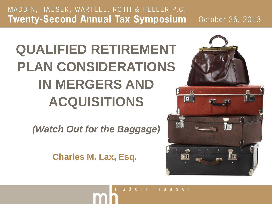# **QUALIFIED RETIREMENT PLAN CONSIDERATIONS IN MERGERS AND ACQUISITIONS**

*(Watch Out for the Baggage)*

**Charles M. Lax, Esq.** 

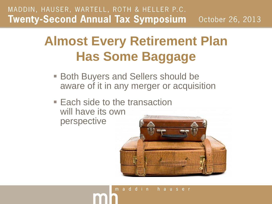## **Almost Every Retirement Plan Has Some Baggage**

- **Both Buyers and Sellers should be** aware of it in any merger or acquisition
- Each side to the transaction will have its own perspective

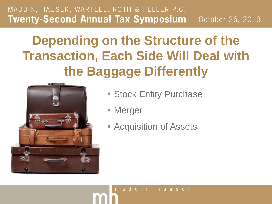## **Depending on the Structure of the Transaction, Each Side Will Deal with the Baggage Differently**



- **Stock Entity Purchase**
- Merger
- **Acquisition of Assets**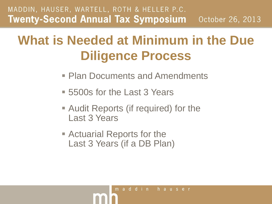## **What is Needed at Minimum in the Due Diligence Process**

- Plan Documents and Amendments
- 5500s for the Last 3 Years
- Audit Reports (if required) for the Last 3 Years
- Actuarial Reports for the Last 3 Years (if a DB Plan)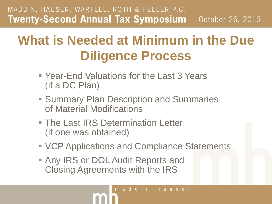## **What is Needed at Minimum in the Due Diligence Process**

- Year-End Valuations for the Last 3 Years (if a DC Plan)
- **Summary Plan Description and Summaries** of Material Modifications
- **The Last IRS Determination Letter** (if one was obtained)
- VCP Applications and Compliance Statements
- **Any IRS or DOL Audit Reports and** Closing Agreements with the IRS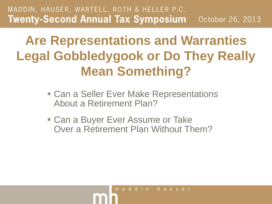## **Are Representations and Warranties Legal Gobbledygook or Do They Really Mean Something?**

- Can a Seller Ever Make Representations About a Retirement Plan?
- Can a Buyer Ever Assume or Take Over a Retirement Plan Without Them?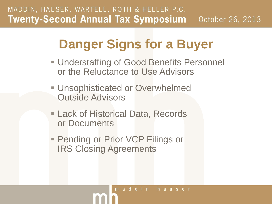## **Danger Signs for a Buyer**

- **Understaffing of Good Benefits Personnel** or the Reluctance to Use Advisors
- **Unsophisticated or Overwhelmed** Outside Advisors
- **Lack of Historical Data, Records** or Documents
- **Pending or Prior VCP Filings or** IRS Closing Agreements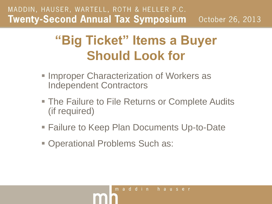### **"Big Ticket" Items a Buyer Should Look for**

- **Improper Characterization of Workers as** Independent Contractors
- The Failure to File Returns or Complete Audits (if required)
- Failure to Keep Plan Documents Up-to-Date
- Operational Problems Such as: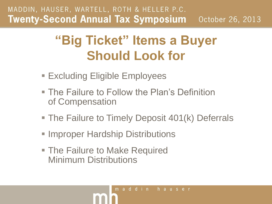### **"Big Ticket" Items a Buyer Should Look for**

- Excluding Eligible Employees
- **The Failure to Follow the Plan's Definition** of Compensation
- The Failure to Timely Deposit 401(k) Deferrals
- **Improper Hardship Distributions**
- The Failure to Make Required Minimum Distributions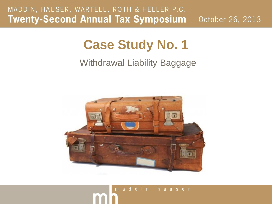### **Case Study No. 1**

### Withdrawal Liability Baggage

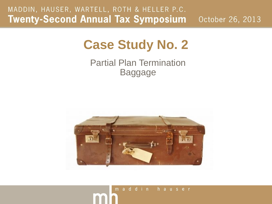### **Case Study No. 2**

Partial Plan Termination Baggage

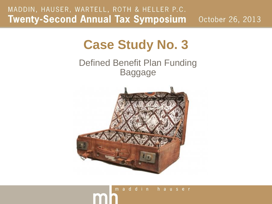### **Case Study No. 3**

### Defined Benefit Plan Funding Baggage